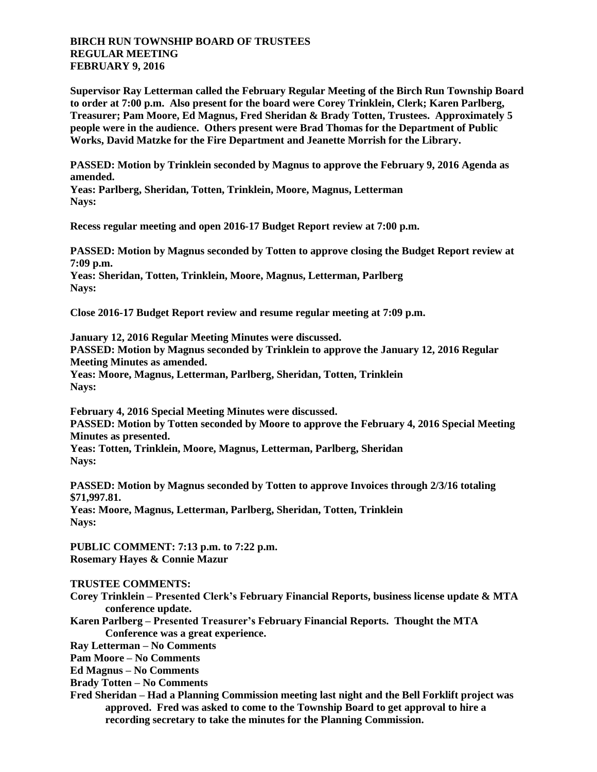## **BIRCH RUN TOWNSHIP BOARD OF TRUSTEES REGULAR MEETING FEBRUARY 9, 2016**

**Supervisor Ray Letterman called the February Regular Meeting of the Birch Run Township Board to order at 7:00 p.m. Also present for the board were Corey Trinklein, Clerk; Karen Parlberg, Treasurer; Pam Moore, Ed Magnus, Fred Sheridan & Brady Totten, Trustees. Approximately 5 people were in the audience. Others present were Brad Thomas for the Department of Public Works, David Matzke for the Fire Department and Jeanette Morrish for the Library.**

**PASSED: Motion by Trinklein seconded by Magnus to approve the February 9, 2016 Agenda as amended.**

**Yeas: Parlberg, Sheridan, Totten, Trinklein, Moore, Magnus, Letterman Nays:** 

**Recess regular meeting and open 2016-17 Budget Report review at 7:00 p.m.**

**PASSED: Motion by Magnus seconded by Totten to approve closing the Budget Report review at 7:09 p.m. Yeas: Sheridan, Totten, Trinklein, Moore, Magnus, Letterman, Parlberg Nays:** 

**Close 2016-17 Budget Report review and resume regular meeting at 7:09 p.m.**

**January 12, 2016 Regular Meeting Minutes were discussed. PASSED: Motion by Magnus seconded by Trinklein to approve the January 12, 2016 Regular Meeting Minutes as amended. Yeas: Moore, Magnus, Letterman, Parlberg, Sheridan, Totten, Trinklein Nays:** 

**February 4, 2016 Special Meeting Minutes were discussed. PASSED: Motion by Totten seconded by Moore to approve the February 4, 2016 Special Meeting Minutes as presented.**

**Yeas: Totten, Trinklein, Moore, Magnus, Letterman, Parlberg, Sheridan Nays:** 

**PASSED: Motion by Magnus seconded by Totten to approve Invoices through 2/3/16 totaling \$71,997.81.**

**Yeas: Moore, Magnus, Letterman, Parlberg, Sheridan, Totten, Trinklein Nays:** 

**PUBLIC COMMENT: 7:13 p.m. to 7:22 p.m. Rosemary Hayes & Connie Mazur**

## **TRUSTEE COMMENTS:**

- **Corey Trinklein – Presented Clerk's February Financial Reports, business license update & MTA conference update.**
- **Karen Parlberg – Presented Treasurer's February Financial Reports. Thought the MTA Conference was a great experience.**

**Ray Letterman – No Comments**

**Pam Moore – No Comments**

**Ed Magnus – No Comments**

**Brady Totten – No Comments**

**Fred Sheridan – Had a Planning Commission meeting last night and the Bell Forklift project was approved. Fred was asked to come to the Township Board to get approval to hire a recording secretary to take the minutes for the Planning Commission.**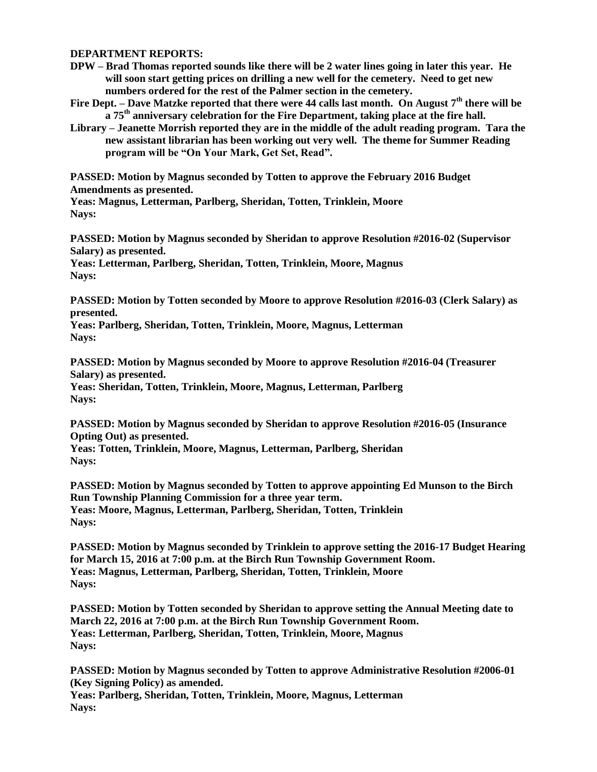## **DEPARTMENT REPORTS:**

- **DPW – Brad Thomas reported sounds like there will be 2 water lines going in later this year. He will soon start getting prices on drilling a new well for the cemetery. Need to get new numbers ordered for the rest of the Palmer section in the cemetery.**
- **Fire Dept. – Dave Matzke reported that there were 44 calls last month. On August 7th there will be a 75th anniversary celebration for the Fire Department, taking place at the fire hall.**
- **Library – Jeanette Morrish reported they are in the middle of the adult reading program. Tara the new assistant librarian has been working out very well. The theme for Summer Reading program will be "On Your Mark, Get Set, Read".**

**PASSED: Motion by Magnus seconded by Totten to approve the February 2016 Budget Amendments as presented.**

**Yeas: Magnus, Letterman, Parlberg, Sheridan, Totten, Trinklein, Moore Nays:** 

**PASSED: Motion by Magnus seconded by Sheridan to approve Resolution #2016-02 (Supervisor Salary) as presented.**

**Yeas: Letterman, Parlberg, Sheridan, Totten, Trinklein, Moore, Magnus Nays:** 

**PASSED: Motion by Totten seconded by Moore to approve Resolution #2016-03 (Clerk Salary) as presented.**

**Yeas: Parlberg, Sheridan, Totten, Trinklein, Moore, Magnus, Letterman Nays:** 

**PASSED: Motion by Magnus seconded by Moore to approve Resolution #2016-04 (Treasurer Salary) as presented.**

**Yeas: Sheridan, Totten, Trinklein, Moore, Magnus, Letterman, Parlberg Nays:** 

**PASSED: Motion by Magnus seconded by Sheridan to approve Resolution #2016-05 (Insurance Opting Out) as presented.**

**Yeas: Totten, Trinklein, Moore, Magnus, Letterman, Parlberg, Sheridan Nays:** 

**PASSED: Motion by Magnus seconded by Totten to approve appointing Ed Munson to the Birch Run Township Planning Commission for a three year term. Yeas: Moore, Magnus, Letterman, Parlberg, Sheridan, Totten, Trinklein Nays:** 

**PASSED: Motion by Magnus seconded by Trinklein to approve setting the 2016-17 Budget Hearing for March 15, 2016 at 7:00 p.m. at the Birch Run Township Government Room. Yeas: Magnus, Letterman, Parlberg, Sheridan, Totten, Trinklein, Moore Nays:** 

**PASSED: Motion by Totten seconded by Sheridan to approve setting the Annual Meeting date to March 22, 2016 at 7:00 p.m. at the Birch Run Township Government Room. Yeas: Letterman, Parlberg, Sheridan, Totten, Trinklein, Moore, Magnus Nays:** 

**PASSED: Motion by Magnus seconded by Totten to approve Administrative Resolution #2006-01 (Key Signing Policy) as amended.**

**Yeas: Parlberg, Sheridan, Totten, Trinklein, Moore, Magnus, Letterman Nays:**